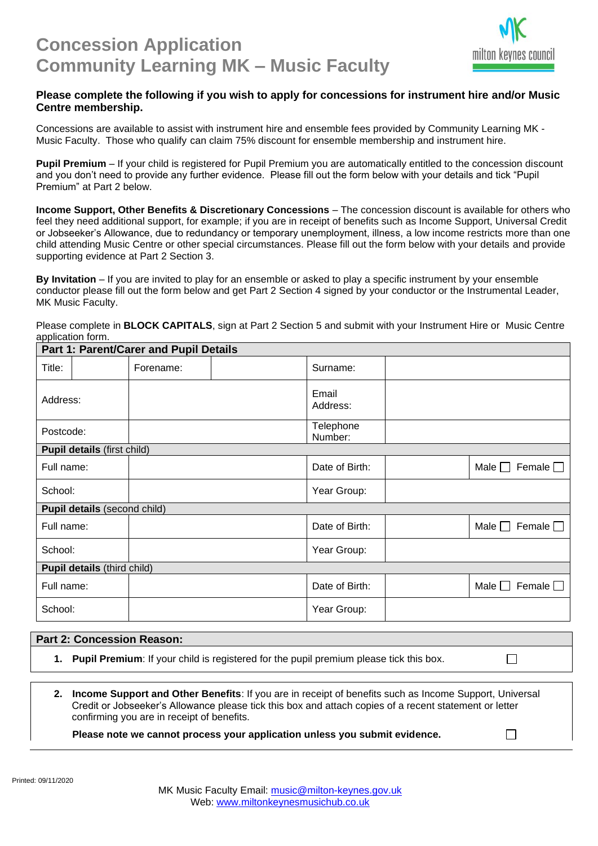

 $\Box$ 

 $\Box$ 

## **Please complete the following if you wish to apply for concessions for instrument hire and/or Music Centre membership.**

Concessions are available to assist with instrument hire and ensemble fees provided by Community Learning MK - Music Faculty. Those who qualify can claim 75% discount for ensemble membership and instrument hire.

**Pupil Premium** – If your child is registered for Pupil Premium you are automatically entitled to the concession discount and you don't need to provide any further evidence. Please fill out the form below with your details and tick "Pupil Premium" at Part 2 below.

**Income Support, Other Benefits & Discretionary Concessions** – The concession discount is available for others who feel they need additional support, for example; if you are in receipt of benefits such as Income Support, Universal Credit or Jobseeker's Allowance, due to redundancy or temporary unemployment, illness, a low income restricts more than one child attending Music Centre or other special circumstances. Please fill out the form below with your details and provide supporting evidence at Part 2 Section 3.

**By Invitation** – If you are invited to play for an ensemble or asked to play a specific instrument by your ensemble conductor please fill out the form below and get Part 2 Section 4 signed by your conductor or the Instrumental Leader, MK Music Faculty.

Please complete in **BLOCK CAPITALS**, sign at Part 2 Section 5 and submit with your Instrument Hire or Music Centre application form.

| <b>Part 1: Parent/Carer and Pupil Details</b> |  |           |  |                      |  |                                    |  |
|-----------------------------------------------|--|-----------|--|----------------------|--|------------------------------------|--|
| Title:                                        |  | Forename: |  | Surname:             |  |                                    |  |
| Address:                                      |  |           |  | Email<br>Address:    |  |                                    |  |
| Postcode:                                     |  |           |  | Telephone<br>Number: |  |                                    |  |
| <b>Pupil details (first child)</b>            |  |           |  |                      |  |                                    |  |
| Full name:                                    |  |           |  | Date of Birth:       |  | Male $\Box$ Female $\Box$          |  |
| School:                                       |  |           |  | Year Group:          |  |                                    |  |
| <b>Pupil details (second child)</b>           |  |           |  |                      |  |                                    |  |
| Full name:                                    |  |           |  | Date of Birth:       |  | Female $\Box$<br>Male $\Box$       |  |
| School:                                       |  |           |  | Year Group:          |  |                                    |  |
| <b>Pupil details (third child)</b>            |  |           |  |                      |  |                                    |  |
| Full name:                                    |  |           |  | Date of Birth:       |  | Female $\square$<br>Male $\square$ |  |
| School:                                       |  |           |  | Year Group:          |  |                                    |  |

## **Part 2: Concession Reason:**

**1. Pupil Premium**: If your child is registered for the pupil premium please tick this box.

**2. Income Support and Other Benefits**: If you are in receipt of benefits such as Income Support, Universal Credit or Jobseeker's Allowance please tick this box and attach copies of a recent statement or letter confirming you are in receipt of benefits.

**Please note we cannot process your application unless you submit evidence.**